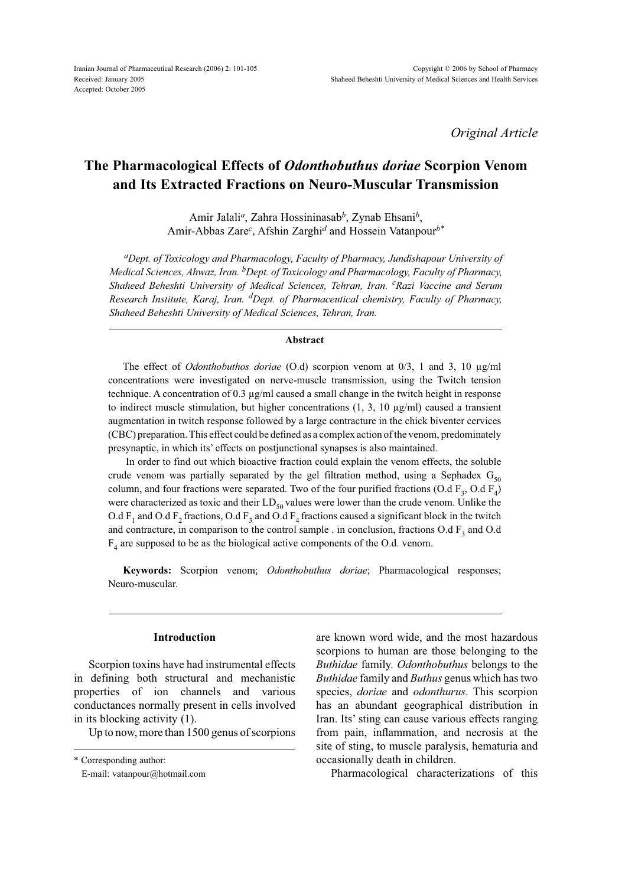*Original Article*

# **The Pharmacological Effects of** *Odonthobuthus doriae* **Scorpion Venom and Its Extracted Fractions on Neuro-Muscular Transmission**

Amir Jalali*a*, Zahra Hossininasab*b*, Zynab Ehsani*b*, Amir-Abbas Zare*<sup>c</sup>* , Afshin Zarghi*d* and Hossein Vatanpour*b\**

*aDept. of Toxicology and Pharmacology, Faculty of Pharmacy, Jundishapour University of Medical Sciences, Ahwaz, Iran. bDept. of Toxicology and Pharmacology, Faculty of Pharmacy, Shaheed Beheshti University of Medical Sciences, Tehran, Iran. <sup>c</sup> Razi Vaccine and Serum Research Institute, Karaj, Iran. dDept. of Pharmaceutical chemistry, Faculty of Pharmacy, Shaheed Beheshti University of Medical Sciences, Tehran, Iran.*

#### **Abstract**

The effect of *Odonthobuthos doriae* (O.d) scorpion venom at 0/3, 1 and 3, 10 µg/ml concentrations were investigated on nerve-muscle transmission, using the Twitch tension technique. A concentration of 0.3 µg/ml caused a small change in the twitch height in response to indirect muscle stimulation, but higher concentrations  $(1, 3, 10 \mu\text{g/ml})$  caused a transient augmentation in twitch response followed by a large contracture in the chick biventer cervices (CBC) preparation. This effect could be defined as a complex action of the venom, predominately presynaptic, in which its' effects on postjunctional synapses is also maintained.

 In order to find out which bioactive fraction could explain the venom effects, the soluble crude venom was partially separated by the gel filtration method, using a Sephadex  $G_{50}$ column, and four fractions were separated. Two of the four purified fractions (O.d  $F_3$ , O.d  $F_4$ ) were characterized as toxic and their  $LD_{50}$  values were lower than the crude venom. Unlike the O.d  $F_1$  and O.d  $F_2$  fractions, O.d  $F_3$  and O.d  $F_4$  fractions caused a significant block in the twitch and contracture, in comparison to the control sample . in conclusion, fractions  $O.dF_3$  and  $O.d$  $F<sub>4</sub>$  are supposed to be as the biological active components of the O.d. venom.

**Keywords:** Scorpion venom; *Odonthobuthus doriae*; Pharmacological responses; Neuro-muscular.

#### **Introduction**

Scorpion toxins have had instrumental effects in defining both structural and mechanistic properties of ion channels and various conductances normally present in cells involved in its blocking activity (1).

Up to now, more than 1500 genus of scorpions

\* Corresponding author:

E-mail: vatanpour@hotmail.com

are known word wide, and the most hazardous scorpions to human are those belonging to the *Buthidae* family. *Odonthobuthus* belongs to the *Buthidae* family and *Buthus* genus which has two species, *doriae* and *odonthurus*. This scorpion has an abundant geographical distribution in Iran. Its' sting can cause various effects ranging from pain, inflammation, and necrosis at the site of sting, to muscle paralysis, hematuria and occasionally death in children.

Pharmacological characterizations of this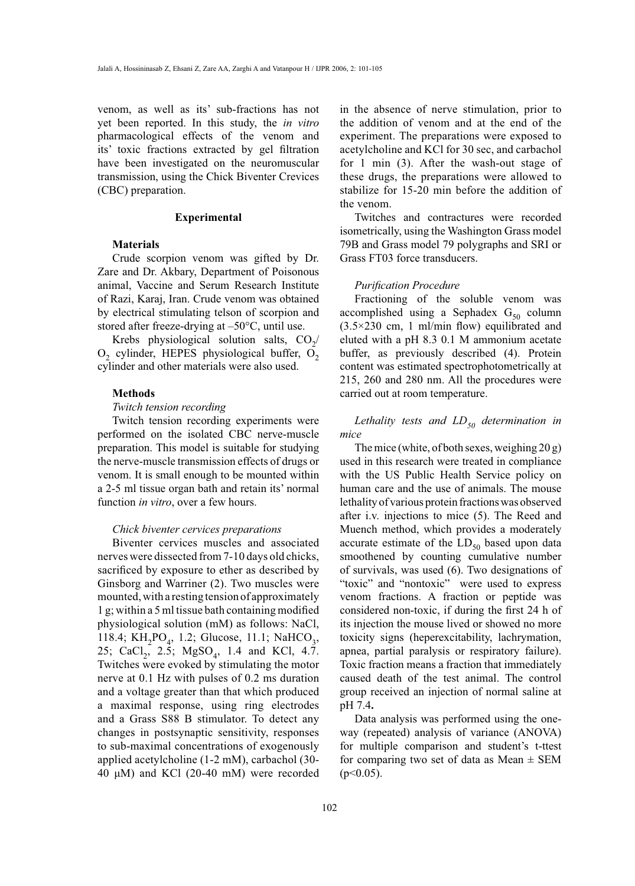venom, as well as its' sub-fractions has not yet been reported. In this study, the *in vitro* pharmacological effects of the venom and its' toxic fractions extracted by gel filtration have been investigated on the neuromuscular transmission, using the Chick Biventer Crevices (CBC) preparation.

#### **Experimental**

#### **Materials**

Crude scorpion venom was gifted by Dr. Zare and Dr. Akbary, Department of Poisonous animal, Vaccine and Serum Research Institute of Razi, Karaj, Iran. Crude venom was obtained by electrical stimulating telson of scorpion and stored after freeze-drying at –50°C, until use.

Krebs physiological solution salts,  $CO<sub>2</sub>/$  $O<sub>2</sub>$  cylinder, HEPES physiological buffer,  $O<sub>2</sub>$ cylinder and other materials were also used.

#### **Methods**

#### *Twitch tension recording*

Twitch tension recording experiments were performed on the isolated CBC nerve-muscle preparation. This model is suitable for studying the nerve-muscle transmission effects of drugs or venom. It is small enough to be mounted within a 2-5 ml tissue organ bath and retain its' normal function *in vitro*, over a few hours.

### *Chick biventer cervices preparations*

Biventer cervices muscles and associated nerves were dissected from 7-10 days old chicks, sacrificed by exposure to ether as described by Ginsborg and Warriner (2). Two muscles were mounted, with a resting tension of approximately 1 g; within a 5 ml tissue bath containing modified physiological solution (mM) as follows: NaCl, 118.4; KH<sub>2</sub>PO<sub>4</sub>, 1.2; Glucose, 11.1; NaHCO<sub>3</sub>, 25; CaCl<sub>2</sub>, 2.5; MgSO<sub>4</sub>, 1.4 and KCl, 4.7. Twitches were evoked by stimulating the motor nerve at 0.1 Hz with pulses of 0.2 ms duration and a voltage greater than that which produced a maximal response, using ring electrodes and a Grass S88 B stimulator. To detect any changes in postsynaptic sensitivity, responses to sub-maximal concentrations of exogenously applied acetylcholine (1-2 mM), carbachol (30- 40 μM) and KCl (20-40 mM) were recorded in the absence of nerve stimulation, prior to the addition of venom and at the end of the experiment. The preparations were exposed to acetylcholine and KCl for 30 sec, and carbachol for 1 min (3). After the wash-out stage of these drugs, the preparations were allowed to stabilize for 15-20 min before the addition of the venom.

Twitches and contractures were recorded isometrically, using the Washington Grass model 79B and Grass model 79 polygraphs and SRI or Grass FT03 force transducers.

#### *Purification Procedure*

Fractioning of the soluble venom was accomplished using a Sephadex  $G_{50}$  column  $(3.5\times230$  cm, 1 ml/min flow) equilibrated and eluted with a pH 8.3 0.1 M ammonium acetate buffer, as previously described (4). Protein content was estimated spectrophotometrically at 215, 260 and 280 nm. All the procedures were carried out at room temperature.

# *Lethality tests and LD<sub>50</sub> determination in mice*

The mice (white, of both sexes, weighing 20 g) used in this research were treated in compliance with the US Public Health Service policy on human care and the use of animals. The mouse lethality of various protein fractions was observed after i.v. injections to mice (5). The Reed and Muench method, which provides a moderately accurate estimate of the  $LD_{50}$  based upon data smoothened by counting cumulative number of survivals, was used (6). Two designations of "toxic" and "nontoxic" were used to express venom fractions. A fraction or peptide was considered non-toxic, if during the first 24 h of its injection the mouse lived or showed no more toxicity signs (heperexcitability, lachrymation, apnea, partial paralysis or respiratory failure). Toxic fraction means a fraction that immediately caused death of the test animal. The control group received an injection of normal saline at pH 7.4**.**

Data analysis was performed using the oneway (repeated) analysis of variance (ANOVA) for multiple comparison and student's t-ttest for comparing two set of data as Mean  $\pm$  SEM  $(p<0.05)$ .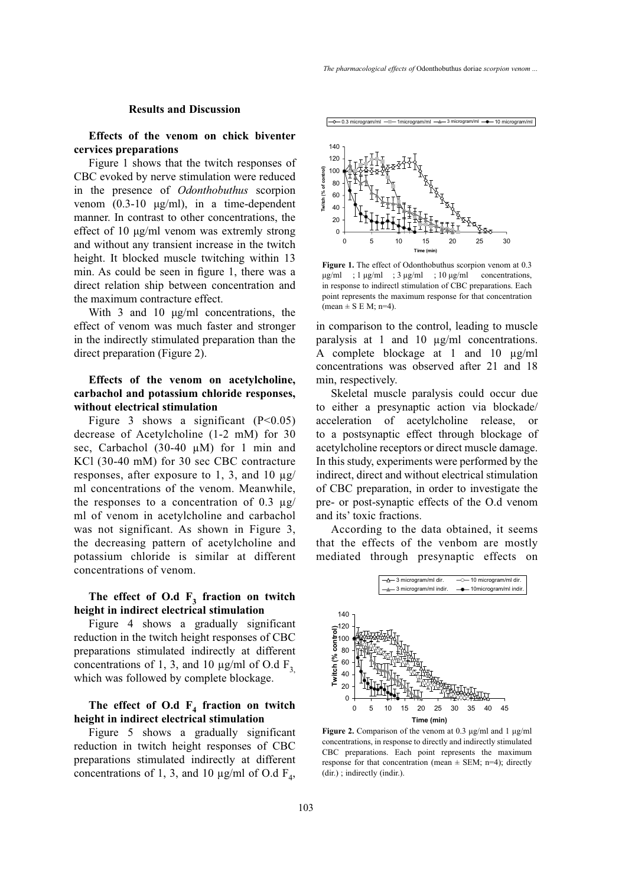#### **Results and Discussion**

**Effects of the venom on chick biventer cervices preparations**

Figure 1 shows that the twitch responses of CBC evoked by nerve stimulation were reduced in the presence of *Odonthobuthus* scorpion venom (0.3-10 μg/ml), in a time-dependent manner. In contrast to other concentrations, the effect of 10 μg/ml venom was extremly strong and without any transient increase in the twitch height. It blocked muscle twitching within 13 min. As could be seen in figure 1, there was a direct relation ship between concentration and the maximum contracture effect.

With 3 and 10 μg/ml concentrations, the effect of venom was much faster and stronger in the indirectly stimulated preparation than the direct preparation (Figure 2).

# **Effects of the venom on acetylcholine, carbachol and potassium chloride responses, without electrical stimulation**

Figure 3 shows a significant  $(P<0.05)$ decrease of Acetylcholine (1-2 mM) for 30 sec, Carbachol (30-40  $\mu$ M) for 1 min and KCl (30-40 mM) for 30 sec CBC contracture responses, after exposure to 1, 3, and 10  $\mu$ g/ ml concentrations of the venom. Meanwhile, the responses to a concentration of 0.3  $\mu$ g/ ml of venom in acetylcholine and carbachol was not significant. As shown in Figure 3, the decreasing pattern of acetylcholine and potassium chloride is similar at different concentrations of venom.

# The effect of  $O.d \tF_3$  fraction on twitch **height in indirect electrical stimulation**

Figure 4 shows a gradually significant reduction in the twitch height responses of CBC preparations stimulated indirectly at different concentrations of 1, 3, and 10  $\mu$ g/ml of O.d F<sub>3</sub> which was followed by complete blockage.

## The effect of O.d  $F_4$  fraction on twitch **height in indirect electrical stimulation**

Figure 5 shows a gradually significant reduction in twitch height responses of CBC preparations stimulated indirectly at different concentrations of 1, 3, and 10  $\mu$ g/ml of O.d F<sub>4</sub>,  $-\infty$  0.3 microgram/ml  $-$  - 1 microgram/ml  $-\infty$  3 microgram/ml  $-\bullet$  10 microgram/ml



**Figure 1.** The effect of Odonthobuthus scorpion venom at 0.3  $\mu$ g/ml ; 1  $\mu$ g/ml ; 3  $\mu$ g/ml ; 10  $\mu$ g/ml concentrations, in response to indirectl stimulation of CBC preparations. Each point represents the maximum response for that concentration  $mean \pm S \to M$ ; n=4).

in comparison to the control, leading to muscle paralysis at 1 and 10 µg/ml concentrations. A complete blockage at 1 and 10 µg/ml concentrations was observed after 21 and 18 min, respectively.

Skeletal muscle paralysis could occur due to either a presynaptic action via blockade/ acceleration of acetylcholine release, or to a postsynaptic effect through blockage of acetylcholine receptors or direct muscle damage. In this study, experiments were performed by the indirect, direct and without electrical stimulation of CBC preparation, in order to investigate the pre- or post-synaptic effects of the O.d venom and its' toxic fractions.

According to the data obtained, it seems that the effects of the venbom are mostly mediated through presynaptic effects on



**Figure 2.** Comparison of the venom at 0.3 μg/ml and 1 μg/ml concentrations, in response to directly and indirectly stimulated CBC preparations. Each point represents the maximum response for that concentration (mean  $\pm$  SEM; n=4); directly (dir.) ; indirectly (indir.).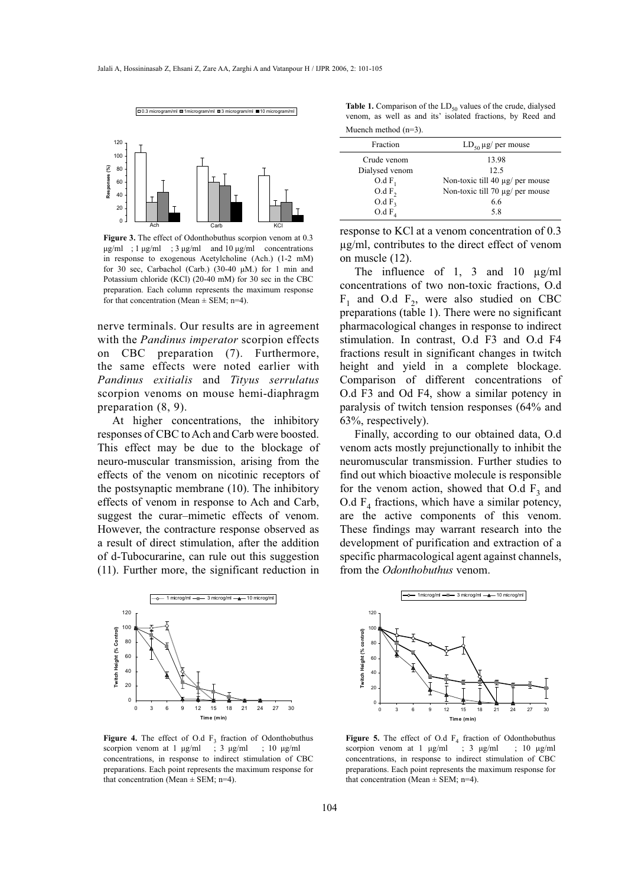

**Figure 3.** The effect of Odonthobuthus scorpion venom at 0.3 μg/ml ; 1 μg/ml ; 3 μg/ml and 10 μg/ml concentrations in response to exogenous Acetylcholine (Ach.) (1-2 mM) for 30 sec, Carbachol (Carb.) (30-40 μM.) for 1 min and Potassium chloride (KCl) (20-40 mM) for 30 sec in the CBC preparation. Each column represents the maximum response for that concentration (Mean  $\pm$  SEM; n=4).

nerve terminals. Our results are in agreement with the *Pandinus imperator* scorpion effects on CBC preparation (7). Furthermore, the same effects were noted earlier with *Pandinus exitialis* and *Tityus serrulatus* scorpion venoms on mouse hemi-diaphragm preparation (8, 9).

At higher concentrations, the inhibitory responses of CBC to Ach and Carb were boosted. This effect may be due to the blockage of neuro-muscular transmission, arising from the effects of the venom on nicotinic receptors of the postsynaptic membrane (10). The inhibitory effects of venom in response to Ach and Carb, suggest the curar–mimetic effects of venom. However, the contracture response observed as a result of direct stimulation, after the addition of d-Tubocurarine, can rule out this suggestion (11). Further more, the significant reduction in



**Figure 4.** The effect of O.d  $F_3$  fraction of Odonthobuthus scorpion venom at 1  $\mu$ g/ml ; 3  $\mu$ g/ml ; 10  $\mu$ g/ml scorpion venom at  $1 \mu g/ml$ concentrations, in response to indirect stimulation of CBC preparations. Each point represents the maximum response for that concentration (Mean  $\pm$  SEM; n=4).

**Table 1.** Comparison of the  $LD_{50}$  values of the crude, dialysed venom, as well as and its' isolated fractions, by Reed and Muench method (n=3).

| Fraction          | $LD_{50} \mu g$ per mouse            |
|-------------------|--------------------------------------|
| Crude venom       | 13.98                                |
| Dialysed venom    | 12.5                                 |
| $O.dF_1$          | Non-toxic till 40 $\mu$ g/ per mouse |
| O.dF <sub>2</sub> | Non-toxic till 70 $\mu$ g/ per mouse |
| O.dF <sub>3</sub> | 6.6                                  |
| O.dF <sub>A</sub> | 58                                   |

response to KCl at a venom concentration of 0.3 µg/ml, contributes to the direct effect of venom on muscle (12).

The influence of 1, 3 and 10  $\mu$ g/ml concentrations of two non-toxic fractions, O.d  $F_1$  and O.d  $F_2$ , were also studied on CBC preparations (table 1). There were no significant pharmacological changes in response to indirect stimulation. In contrast, O.d F3 and O.d F4 fractions result in significant changes in twitch height and yield in a complete blockage. Comparison of different concentrations of O.d F3 and Od F4, show a similar potency in paralysis of twitch tension responses (64% and 63%, respectively).

Finally, according to our obtained data, O.d venom acts mostly prejunctionally to inhibit the neuromuscular transmission. Further studies to find out which bioactive molecule is responsible for the venom action, showed that O.d  $F_3$  and O.d  $F_4$  fractions, which have a similar potency, are the active components of this venom. These findings may warrant research into the development of purification and extraction of a specific pharmacological agent against channels, from the *Odonthobuthus* venom.



**Figure 5.** The effect of O.d  $F_4$  fraction of Odonthobuthus scorpion venom at 1  $\mu$ g/ml ; 3  $\mu$ g/ml ; 10  $\mu$ g/ml scorpion venom at 1  $\mu$ g/ml concentrations, in response to indirect stimulation of CBC preparations. Each point represents the maximum response for that concentration (Mean  $\pm$  SEM; n=4).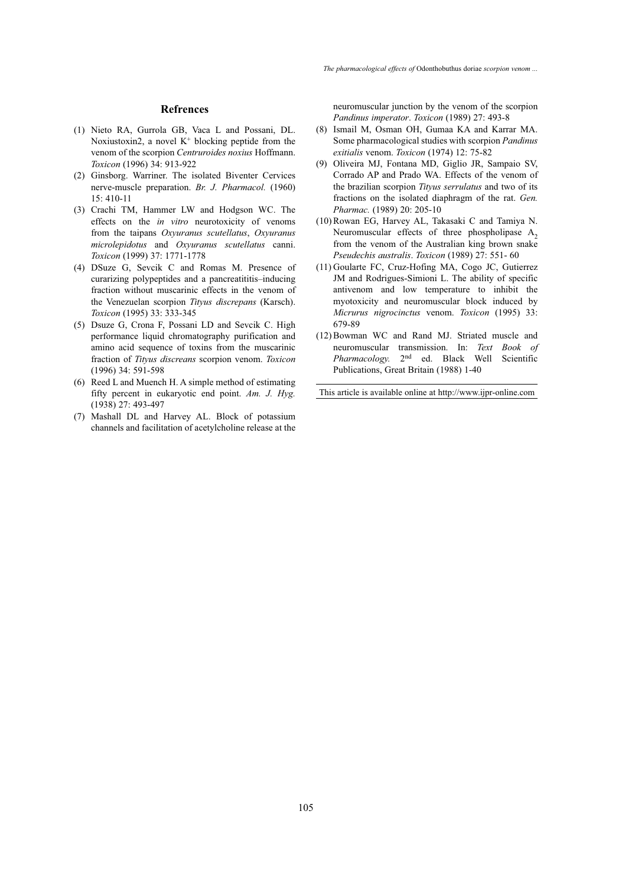- (1) Nieto RA, Gurrola GB, Vaca L and Possani, DL. Noxiustoxin2, a novel  $K^+$  blocking peptide from the venom of the scorpion *Centruroides noxius* Hoffmann. *Toxicon* (1996) 34: 913-922
- (2) Ginsborg. Warriner. The isolated Biventer Cervices nerve-muscle preparation. *Br. J. Pharmacol.* (1960) 15: 410-11
- (3) Crachi TM, Hammer LW and Hodgson WC. The effects on the *in vitro* neurotoxicity of venoms from the taipans *Oxyuranus scutellatus*, *Oxyuranus microlepidotus* and *Oxyuranus scutellatus* canni. *Toxicon* (1999) 37: 1771-1778
- DSuze G, Sevcik C and Romas M. Presence of (4) curarizing polypeptides and a pancreatititis–inducing fraction without muscarinic effects in the venom of the Venezuelan scorpion *Tityus discrepans* (Karsch). *Toxicon* (1995) 33: 333-345
- Dsuze G, Crona F, Possani LD and Sevcik C. High (5) performance liquid chromatography purification and amino acid sequence of toxins from the muscarinic fraction of *Tityus discreans* scorpion venom. *Toxicon* (1996) 34: 591-598
- $(6)$  Reed L and Muench H. A simple method of estimating fifty percent in eukaryotic end point. *Am. J. Hyg.* (1938) 27: 493-497
- (7) Mashall DL and Harvey AL. Block of potassium channels and facilitation of acetylcholine release at the

**Refrences neuromuscular junction by the venom of the scorpion** *Pandinus imperator*. *Toxicon* (1989) 27: 493-8

- Ismail M, Osman OH, Gumaa KA and Karrar MA. (8) Some pharmacological studies with scorpion *Pandinus exitialis* venom. *Toxicon* (1974) 12: 75-82
- (9) Oliveira MJ, Fontana MD, Giglio JR, Sampaio SV, Corrado AP and Prado WA. Effects of the venom of the brazilian scorpion *Tityus serrulatus* and two of its fractions on the isolated diaphragm of the rat. *Gen. Pharmac.* (1989) 20: 205-10
- (10) Rowan EG, Harvey AL, Takasaki C and Tamiya N. Neuromuscular effects of three phospholipase  $A_2$ from the venom of the Australian king brown snake *Pseudechis australis*. *Toxicon* (1989) 27: 551- 60
- (11) Goularte FC, Cruz-Hofing MA, Cogo JC, Gutierrez JM and Rodrigues-Simioni L. The ability of specific antivenom and low temperature to inhibit the myotoxicity and neuromuscular block induced by *Micrurus nigrocinctus* venom. *Toxicon* (1995) 33: 679-89
- (12) Bowman WC and Rand MJ. Striated muscle and neuromuscular transmission. In: *Text Book of Pharmacology.* 2nd ed. Black Well Scientific Publications, Great Britain (1988) 1-40

This article is available online at http://www.ijpr-online.com